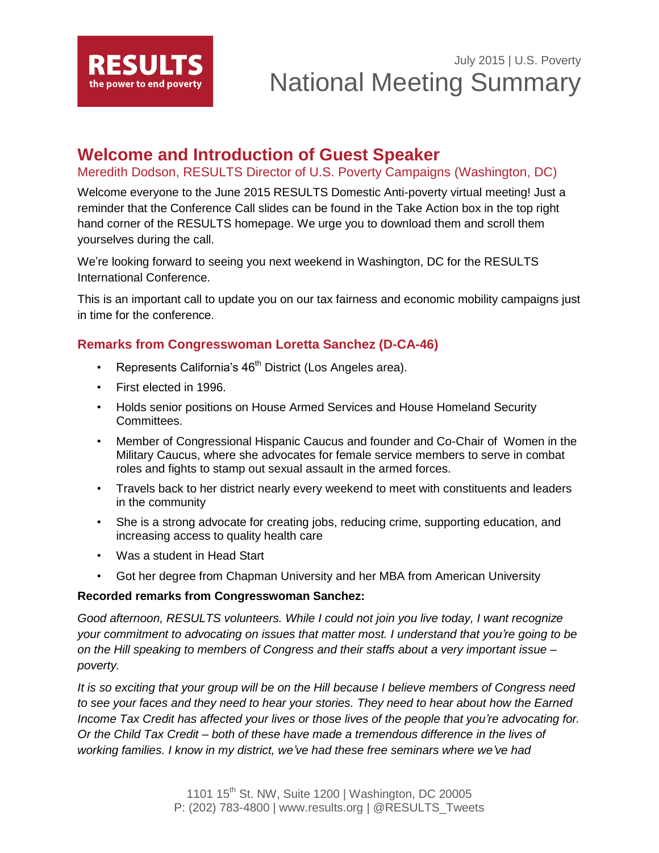

## **Welcome and Introduction of Guest Speaker**

Meredith Dodson, RESULTS Director of U.S. Poverty Campaigns (Washington, DC)

Welcome everyone to the June 2015 RESULTS Domestic Anti-poverty virtual meeting! Just a reminder that the Conference Call slides can be found in the Take Action box in the top right hand corner of the RESULTS homepage. We urge you to download them and scroll them yourselves during the call.

We're looking forward to seeing you next weekend in Washington, DC for the RESULTS International Conference.

This is an important call to update you on our tax fairness and economic mobility campaigns just in time for the conference.

## **Remarks from Congresswoman Loretta Sanchez (D-CA-46)**

- Represents California's  $46<sup>th</sup>$  District (Los Angeles area).
- First elected in 1996.
- Holds senior positions on House Armed Services and House Homeland Security Committees.
- Member of Congressional Hispanic Caucus and founder and Co-Chair of Women in the Military Caucus, where she advocates for female service members to serve in combat roles and fights to stamp out sexual assault in the armed forces.
- Travels back to her district nearly every weekend to meet with constituents and leaders in the community
- She is a strong advocate for creating jobs, reducing crime, supporting education, and increasing access to quality health care
- Was a student in Head Start
- Got her degree from Chapman University and her MBA from American University

#### **Recorded remarks from Congresswoman Sanchez:**

*Good afternoon, RESULTS volunteers. While I could not join you live today, I want recognize your commitment to advocating on issues that matter most. I understand that you're going to be on the Hill speaking to members of Congress and their staffs about a very important issue – poverty.*

*It is so exciting that your group will be on the Hill because I believe members of Congress need to see your faces and they need to hear your stories. They need to hear about how the Earned Income Tax Credit has affected your lives or those lives of the people that you're advocating for. Or the Child Tax Credit – both of these have made a tremendous difference in the lives of working families. I know in my district, we've had these free seminars where we've had*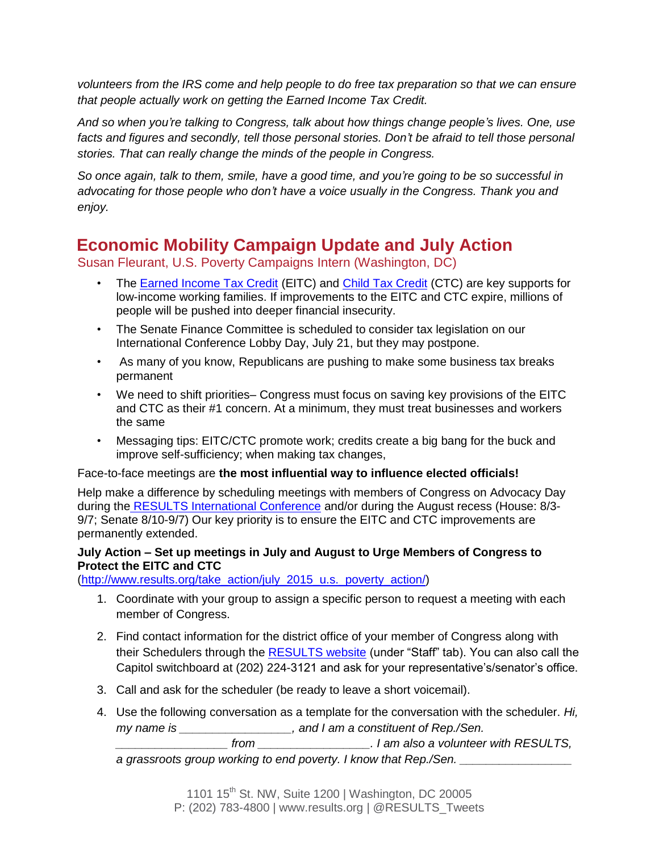*volunteers from the IRS come and help people to do free tax preparation so that we can ensure that people actually work on getting the Earned Income Tax Credit.*

*And so when you're talking to Congress, talk about how things change people's lives. One, use facts and figures and secondly, tell those personal stories. Don't be afraid to tell those personal stories. That can really change the minds of the people in Congress.*

*So once again, talk to them, smile, have a good time, and you're going to be so successful in advocating for those people who don't have a voice usually in the Congress. Thank you and enjoy.*

# **Economic Mobility Campaign Update and July Action**

Susan Fleurant, U.S. Poverty Campaigns Intern (Washington, DC)

- The **[Earned Income Tax Credit](http://www.results.org/issues/earned_income_tax_credit/)** (EITC) and [Child Tax Credit](http://www.results.org/issues/child_tax_credit/) (CTC) are key supports for low-income working families. If improvements to the EITC and CTC expire, millions of people will be pushed into deeper financial insecurity.
- The Senate Finance Committee is scheduled to consider tax legislation on our International Conference Lobby Day, July 21, but they may postpone.
- As many of you know, Republicans are pushing to make some business tax breaks permanent
- We need to shift priorities– Congress must focus on saving key provisions of the EITC and CTC as their #1 concern. At a minimum, they must treat businesses and workers the same
- Messaging tips: EITC/CTC promote work; credits create a big bang for the buck and improve self-sufficiency; when making tax changes,

### Face-to-face meetings are **the most influential way to influence elected officials!**

Help make a difference by scheduling meetings with members of Congress on Advocacy Day during the [RESULTS International Conference](http://www.cvent.com/events/results-2015-international-conference/event-summary-6e6e2b145a02421a805078305ffdcb1f.aspx?i=56691988) and/or during the August recess (House: 8/3- 9/7; Senate 8/10-9/7) Our key priority is to ensure the EITC and CTC improvements are permanently extended.

### **July Action – Set up meetings in July and August to Urge Members of Congress to Protect the EITC and CTC**

[\(http://www.results.org/take\\_action/july\\_2015\\_u.s.\\_poverty\\_action/\)](http://www.results.org/take_action/july_2015_u.s._poverty_action/)

- 1. Coordinate with your group to assign a specific person to request a meeting with each member of Congress.
- 2. Find contact information for the district office of your member of Congress along with their Schedulers through the [RESULTS website](http://capwiz.com/results/dbq/officials/) (under "Staff" tab). You can also call the Capitol switchboard at (202) 224-3121 and ask for your representative's/senator's office.
- 3. Call and ask for the scheduler (be ready to leave a short voicemail).
- 4. Use the following conversation as a template for the conversation with the scheduler. *Hi, my name is \_\_\_\_\_\_\_\_\_\_\_\_\_\_\_\_\_, and I am a constituent of Rep./Sen.*

*\_\_\_\_\_\_\_\_\_\_\_\_\_\_\_\_\_ from \_\_\_\_\_\_\_\_\_\_\_\_\_\_\_\_\_. I am also a volunteer with RESULTS,*  a grassroots group working to end poverty. I know that Rep./Sen.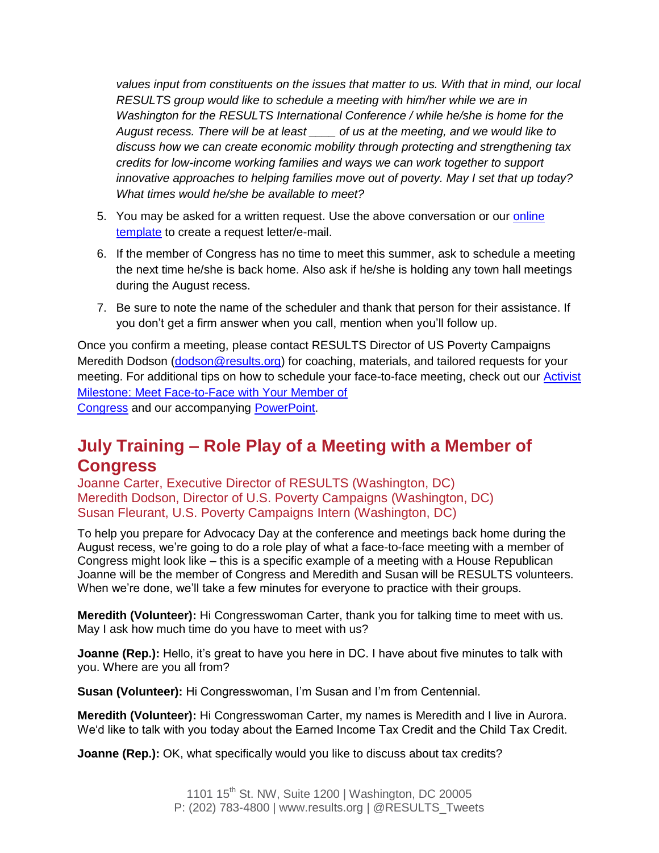*values input from constituents on the issues that matter to us. With that in mind, our local RESULTS group would like to schedule a meeting with him/her while we are in Washington for the RESULTS International Conference / while he/she is home for the August recess. There will be at least \_\_\_\_ of us at the meeting, and we would like to discuss how we can create economic mobility through protecting and strengthening tax credits for low-income working families and ways we can work together to support innovative approaches to helping families move out of poverty. May I set that up today? What times would he/she be available to meet?*

- 5. You may be asked for a written request. Use the above conversation or our [online](http://capwiz.com/results/issues/alert/?alertid=7268106&MC_plugin=2201)  [template](http://capwiz.com/results/issues/alert/?alertid=7268106&MC_plugin=2201) to create a request letter/e-mail.
- 6. If the member of Congress has no time to meet this summer, ask to schedule a meeting the next time he/she is back home. Also ask if he/she is holding any town hall meetings during the August recess.
- 7. Be sure to note the name of the scheduler and thank that person for their assistance. If you don't get a firm answer when you call, mention when you'll follow up.

Once you confirm a meeting, please contact RESULTS Director of US Poverty Campaigns Meredith Dodson [\(dodson@results.org\)](mailto:dodson@results.org) for coaching, materials, and tailored requests for your meeting. For additional tips on how to schedule your face-to-face meeting, check out our [Activist](http://www.results.org/skills_center/milestone_12/)  [Milestone: Meet Face-to-Face with Your Member of](http://www.results.org/skills_center/milestone_12/)  [Congress](http://www.results.org/skills_center/milestone_12/) and our accompanying [PowerPoint.](http://www.results.org/uploads/files/results_-_face-to-face_lobby_visits_(activist_toolkit).ppt)

# **July Training – Role Play of a Meeting with a Member of Congress**

Joanne Carter, Executive Director of RESULTS (Washington, DC) Meredith Dodson, Director of U.S. Poverty Campaigns (Washington, DC) Susan Fleurant, U.S. Poverty Campaigns Intern (Washington, DC)

To help you prepare for Advocacy Day at the conference and meetings back home during the August recess, we're going to do a role play of what a face-to-face meeting with a member of Congress might look like – this is a specific example of a meeting with a House Republican Joanne will be the member of Congress and Meredith and Susan will be RESULTS volunteers. When we're done, we'll take a few minutes for everyone to practice with their groups.

**Meredith (Volunteer):** Hi Congresswoman Carter, thank you for talking time to meet with us. May I ask how much time do you have to meet with us?

**Joanne (Rep.):** Hello, it's great to have you here in DC. I have about five minutes to talk with you. Where are you all from?

**Susan (Volunteer):** Hi Congresswoman, I'm Susan and I'm from Centennial.

**Meredith (Volunteer):** Hi Congresswoman Carter, my names is Meredith and I live in Aurora. We'd like to talk with you today about the Earned Income Tax Credit and the Child Tax Credit.

**Joanne (Rep.):** OK, what specifically would you like to discuss about tax credits?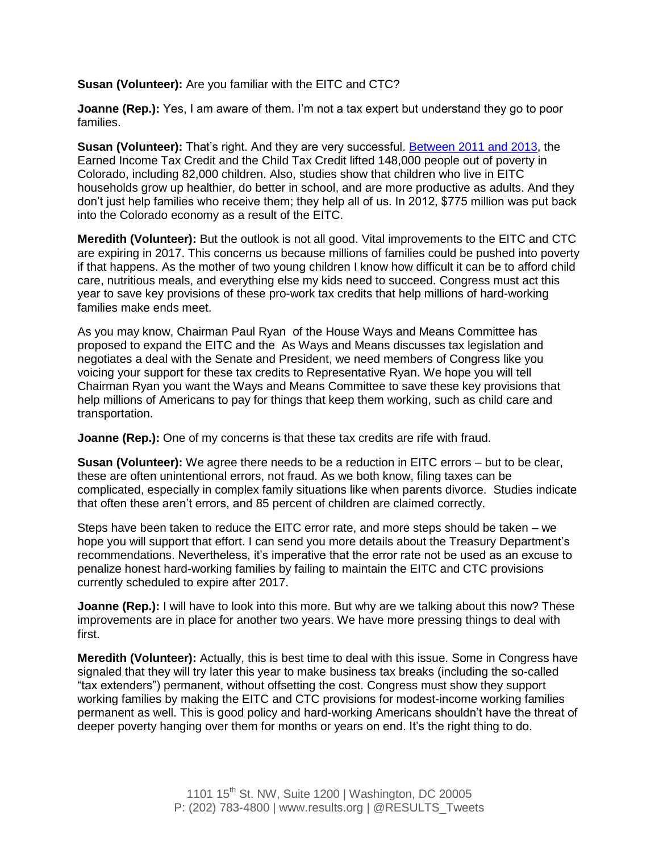**Susan (Volunteer):** Are you familiar with the EITC and CTC?

**Joanne (Rep.):** Yes, I am aware of them. I'm not a tax expert but understand they go to poor families.

**Susan (Volunteer):** That's right. And they are very successful. [Between 2011 and 2013,](http://apps.cbpp.org/3-5-14tax/?state=CO) the Earned Income Tax Credit and the Child Tax Credit lifted 148,000 people out of poverty in Colorado, including 82,000 children. Also, studies show that children who live in EITC households grow up healthier, do better in school, and are more productive as adults. And they don't just help families who receive them; they help all of us. In 2012, \$775 million was put back into the Colorado economy as a result of the EITC.

**Meredith (Volunteer):** But the outlook is not all good. Vital improvements to the EITC and CTC are expiring in 2017. This concerns us because millions of families could be pushed into poverty if that happens. As the mother of two young children I know how difficult it can be to afford child care, nutritious meals, and everything else my kids need to succeed. Congress must act this year to save key provisions of these pro-work tax credits that help millions of hard-working families make ends meet.

As you may know, Chairman Paul Ryan of the House Ways and Means Committee has proposed to expand the EITC and the As Ways and Means discusses tax legislation and negotiates a deal with the Senate and President, we need members of Congress like you voicing your support for these tax credits to Representative Ryan. We hope you will tell Chairman Ryan you want the Ways and Means Committee to save these key provisions that help millions of Americans to pay for things that keep them working, such as child care and transportation.

**Joanne (Rep.):** One of my concerns is that these tax credits are rife with fraud.

**Susan (Volunteer):** We agree there needs to be a reduction in EITC errors – but to be clear, these are often unintentional errors, not fraud. As we both know, filing taxes can be complicated, especially in complex family situations like when parents divorce. Studies indicate that often these aren't errors, and 85 percent of children are claimed correctly.

Steps have been taken to reduce the EITC error rate, and more steps should be taken – we hope you will support that effort. I can send you more details about the Treasury Department's recommendations. Nevertheless, it's imperative that the error rate not be used as an excuse to penalize honest hard-working families by failing to maintain the EITC and CTC provisions currently scheduled to expire after 2017.

**Joanne (Rep.):** I will have to look into this more. But why are we talking about this now? These improvements are in place for another two years. We have more pressing things to deal with first.

**Meredith (Volunteer):** Actually, this is best time to deal with this issue. Some in Congress have signaled that they will try later this year to make business tax breaks (including the so-called "tax extenders") permanent, without offsetting the cost. Congress must show they support working families by making the EITC and CTC provisions for modest-income working families permanent as well. This is good policy and hard-working Americans shouldn't have the threat of deeper poverty hanging over them for months or years on end. It's the right thing to do.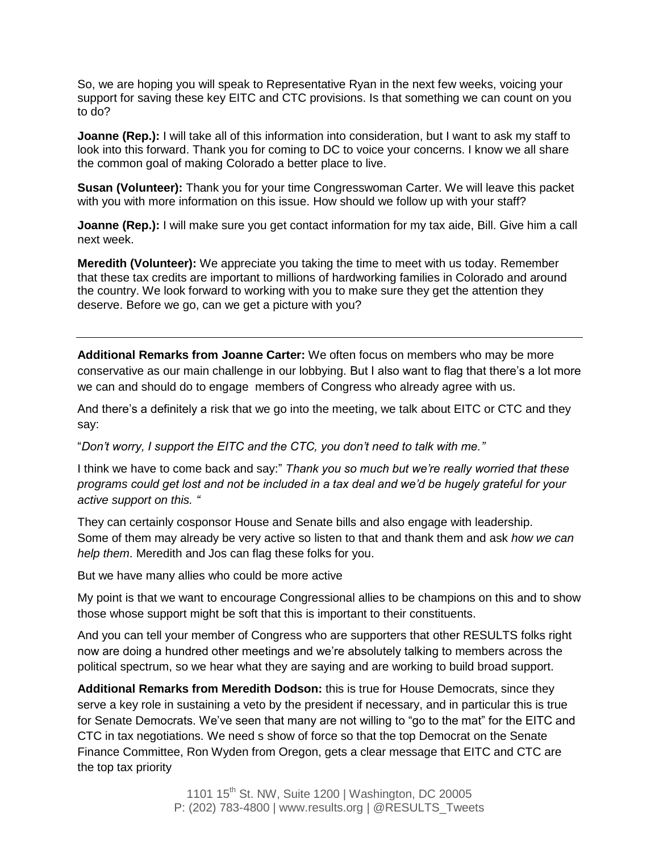So, we are hoping you will speak to Representative Ryan in the next few weeks, voicing your support for saving these key EITC and CTC provisions. Is that something we can count on you to do?

**Joanne (Rep.):** I will take all of this information into consideration, but I want to ask my staff to look into this forward. Thank you for coming to DC to voice your concerns. I know we all share the common goal of making Colorado a better place to live.

**Susan (Volunteer):** Thank you for your time Congresswoman Carter. We will leave this packet with you with more information on this issue. How should we follow up with your staff?

**Joanne (Rep.):** I will make sure you get contact information for my tax aide, Bill. Give him a call next week.

**Meredith (Volunteer):** We appreciate you taking the time to meet with us today. Remember that these tax credits are important to millions of hardworking families in Colorado and around the country. We look forward to working with you to make sure they get the attention they deserve. Before we go, can we get a picture with you?

**Additional Remarks from Joanne Carter:** We often focus on members who may be more conservative as our main challenge in our lobbying. But I also want to flag that there's a lot more we can and should do to engage members of Congress who already agree with us.

And there's a definitely a risk that we go into the meeting, we talk about EITC or CTC and they say:

"*Don't worry, I support the EITC and the CTC, you don't need to talk with me."*

I think we have to come back and say:" *Thank you so much but we're really worried that these programs could get lost and not be included in a tax deal and we'd be hugely grateful for your active support on this. "*

They can certainly cosponsor House and Senate bills and also engage with leadership. Some of them may already be very active so listen to that and thank them and ask *how we can help them*. Meredith and Jos can flag these folks for you.

But we have many allies who could be more active

My point is that we want to encourage Congressional allies to be champions on this and to show those whose support might be soft that this is important to their constituents.

And you can tell your member of Congress who are supporters that other RESULTS folks right now are doing a hundred other meetings and we're absolutely talking to members across the political spectrum, so we hear what they are saying and are working to build broad support.

**Additional Remarks from Meredith Dodson:** this is true for House Democrats, since they serve a key role in sustaining a veto by the president if necessary, and in particular this is true for Senate Democrats. We've seen that many are not willing to "go to the mat" for the EITC and CTC in tax negotiations. We need s show of force so that the top Democrat on the Senate Finance Committee, Ron Wyden from Oregon, gets a clear message that EITC and CTC are the top tax priority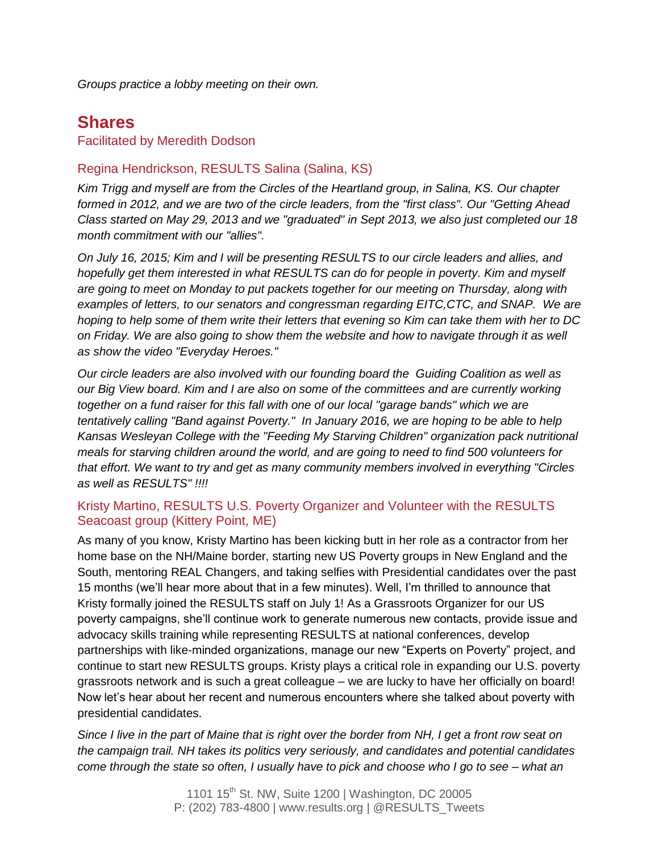*Groups practice a lobby meeting on their own.*

## **Shares**

#### Facilitated by Meredith Dodson

### Regina Hendrickson, RESULTS Salina (Salina, KS)

*Kim Trigg and myself are from the Circles of the Heartland group, in Salina, KS. Our chapter formed in 2012, and we are two of the circle leaders, from the "first class". Our "Getting Ahead Class started on May 29, 2013 and we "graduated" in Sept 2013, we also just completed our 18 month commitment with our "allies".*

*On July 16, 2015; Kim and I will be presenting RESULTS to our circle leaders and allies, and hopefully get them interested in what RESULTS can do for people in poverty. Kim and myself are going to meet on Monday to put packets together for our meeting on Thursday, along with examples of letters, to our senators and congressman regarding EITC,CTC, and SNAP. We are hoping to help some of them write their letters that evening so Kim can take them with her to DC on Friday. We are also going to show them the website and how to navigate through it as well as show the video "Everyday Heroes."*

*Our circle leaders are also involved with our founding board the Guiding Coalition as well as our Big View board. Kim and I are also on some of the committees and are currently working together on a fund raiser for this fall with one of our local "garage bands" which we are tentatively calling "Band against Poverty." In January 2016, we are hoping to be able to help Kansas Wesleyan College with the "Feeding My Starving Children" organization pack nutritional meals for starving children around the world, and are going to need to find 500 volunteers for that effort. We want to try and get as many community members involved in everything "Circles as well as RESULTS" !!!!*

### Kristy Martino, RESULTS U.S. Poverty Organizer and Volunteer with the RESULTS Seacoast group (Kittery Point, ME)

As many of you know, Kristy Martino has been kicking butt in her role as a contractor from her home base on the NH/Maine border, starting new US Poverty groups in New England and the South, mentoring REAL Changers, and taking selfies with Presidential candidates over the past 15 months (we'll hear more about that in a few minutes). Well, I'm thrilled to announce that Kristy formally joined the RESULTS staff on July 1! As a Grassroots Organizer for our US poverty campaigns, she'll continue work to generate numerous new contacts, provide issue and advocacy skills training while representing RESULTS at national conferences, develop partnerships with like-minded organizations, manage our new "Experts on Poverty" project, and continue to start new RESULTS groups. Kristy plays a critical role in expanding our U.S. poverty grassroots network and is such a great colleague – we are lucky to have her officially on board! Now let's hear about her recent and numerous encounters where she talked about poverty with presidential candidates.

*Since I live in the part of Maine that is right over the border from NH, I get a front row seat on the campaign trail. NH takes its politics very seriously, and candidates and potential candidates come through the state so often, I usually have to pick and choose who I go to see – what an*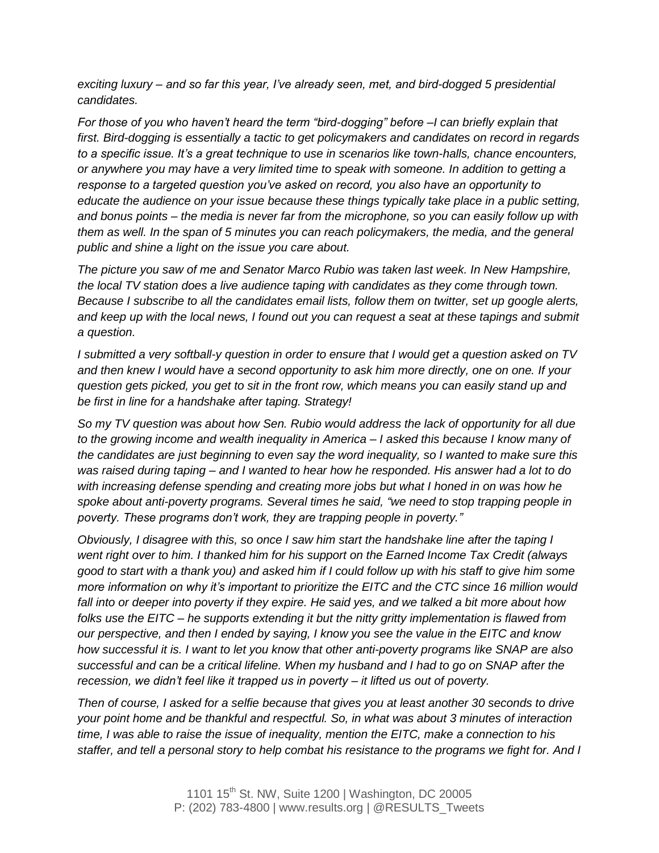*exciting luxury – and so far this year, I've already seen, met, and bird-dogged 5 presidential candidates.* 

*For those of you who haven't heard the term "bird-dogging" before –I can briefly explain that first. Bird-dogging is essentially a tactic to get policymakers and candidates on record in regards to a specific issue. It's a great technique to use in scenarios like town-halls, chance encounters, or anywhere you may have a very limited time to speak with someone. In addition to getting a response to a targeted question you've asked on record, you also have an opportunity to educate the audience on your issue because these things typically take place in a public setting, and bonus points – the media is never far from the microphone, so you can easily follow up with them as well. In the span of 5 minutes you can reach policymakers, the media, and the general public and shine a light on the issue you care about.* 

*The picture you saw of me and Senator Marco Rubio was taken last week. In New Hampshire, the local TV station does a live audience taping with candidates as they come through town. Because I subscribe to all the candidates email lists, follow them on twitter, set up google alerts, and keep up with the local news, I found out you can request a seat at these tapings and submit a question.* 

*I submitted a very softball-y question in order to ensure that I would get a question asked on TV and then knew I would have a second opportunity to ask him more directly, one on one. If your question gets picked, you get to sit in the front row, which means you can easily stand up and be first in line for a handshake after taping. Strategy!* 

*So my TV question was about how Sen. Rubio would address the lack of opportunity for all due to the growing income and wealth inequality in America – I asked this because I know many of the candidates are just beginning to even say the word inequality, so I wanted to make sure this was raised during taping – and I wanted to hear how he responded. His answer had a lot to do with increasing defense spending and creating more jobs but what I honed in on was how he spoke about anti-poverty programs. Several times he said, "we need to stop trapping people in poverty. These programs don't work, they are trapping people in poverty."*

*Obviously, I disagree with this, so once I saw him start the handshake line after the taping I went right over to him. I thanked him for his support on the Earned Income Tax Credit (always good to start with a thank you) and asked him if I could follow up with his staff to give him some more information on why it's important to prioritize the EITC and the CTC since 16 million would fall into or deeper into poverty if they expire. He said yes, and we talked a bit more about how folks use the EITC – he supports extending it but the nitty gritty implementation is flawed from our perspective, and then I ended by saying, I know you see the value in the EITC and know how successful it is. I want to let you know that other anti-poverty programs like SNAP are also successful and can be a critical lifeline. When my husband and I had to go on SNAP after the recession, we didn't feel like it trapped us in poverty – it lifted us out of poverty.* 

*Then of course, I asked for a selfie because that gives you at least another 30 seconds to drive your point home and be thankful and respectful. So, in what was about 3 minutes of interaction time, I was able to raise the issue of inequality, mention the EITC, make a connection to his staffer, and tell a personal story to help combat his resistance to the programs we fight for. And I*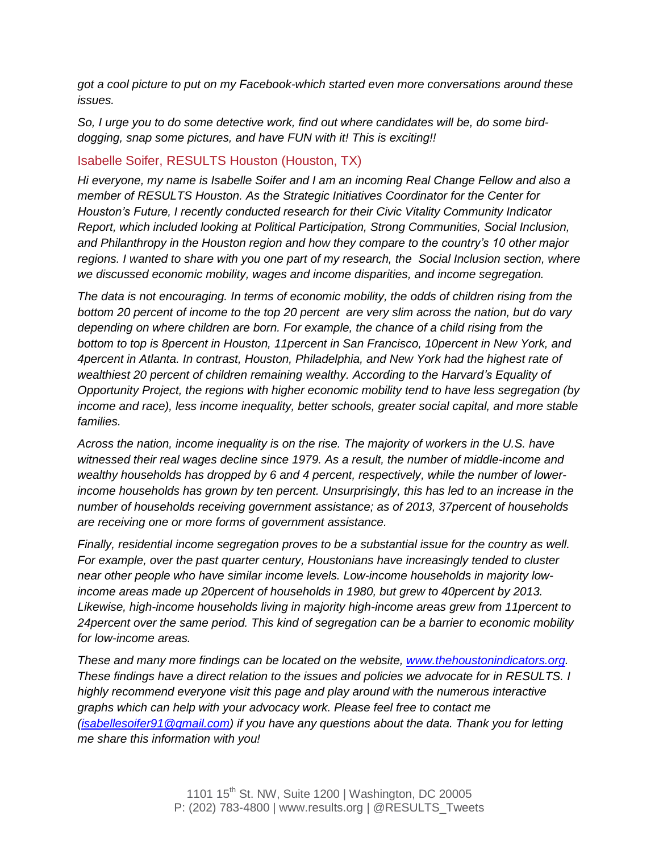*got a cool picture to put on my Facebook-which started even more conversations around these issues.* 

*So, I urge you to do some detective work, find out where candidates will be, do some birddogging, snap some pictures, and have FUN with it! This is exciting!!*

### Isabelle Soifer, RESULTS Houston (Houston, TX)

*Hi everyone, my name is Isabelle Soifer and I am an incoming Real Change Fellow and also a member of RESULTS Houston. As the Strategic Initiatives Coordinator for the Center for Houston's Future, I recently conducted research for their Civic Vitality Community Indicator Report, which included looking at Political Participation, Strong Communities, Social Inclusion, and Philanthropy in the Houston region and how they compare to the country's 10 other major regions. I wanted to share with you one part of my research, the Social Inclusion section, where we discussed economic mobility, wages and income disparities, and income segregation.* 

*The data is not encouraging. In terms of economic mobility, the odds of children rising from the bottom 20 percent of income to the top 20 percent are very slim across the nation, but do vary depending on where children are born. For example, the chance of a child rising from the bottom to top is 8percent in Houston, 11percent in San Francisco, 10percent in New York, and 4percent in Atlanta. In contrast, Houston, Philadelphia, and New York had the highest rate of wealthiest 20 percent of children remaining wealthy. According to the Harvard's Equality of Opportunity Project, the regions with higher economic mobility tend to have less segregation (by income and race), less income inequality, better schools, greater social capital, and more stable families.* 

*Across the nation, income inequality is on the rise. The majority of workers in the U.S. have witnessed their real wages decline since 1979. As a result, the number of middle-income and wealthy households has dropped by 6 and 4 percent, respectively, while the number of lowerincome households has grown by ten percent. Unsurprisingly, this has led to an increase in the number of households receiving government assistance; as of 2013, 37percent of households are receiving one or more forms of government assistance.* 

*Finally, residential income segregation proves to be a substantial issue for the country as well. For example, over the past quarter century, Houstonians have increasingly tended to cluster near other people who have similar income levels. Low-income households in majority lowincome areas made up 20percent of households in 1980, but grew to 40percent by 2013. Likewise, high-income households living in majority high-income areas grew from 11percent to 24percent over the same period. This kind of segregation can be a barrier to economic mobility for low-income areas.*

*These and many more findings can be located on the website, [www.thehoustonindicators.org.](http://www.thehoustonindicators.org/) These findings have a direct relation to the issues and policies we advocate for in RESULTS. I highly recommend everyone visit this page and play around with the numerous interactive graphs which can help with your advocacy work. Please feel free to contact me [\(isabellesoifer91@gmail.com\)](mailto:isabellesoifer91@gmail.com) if you have any questions about the data. Thank you for letting me share this information with you!*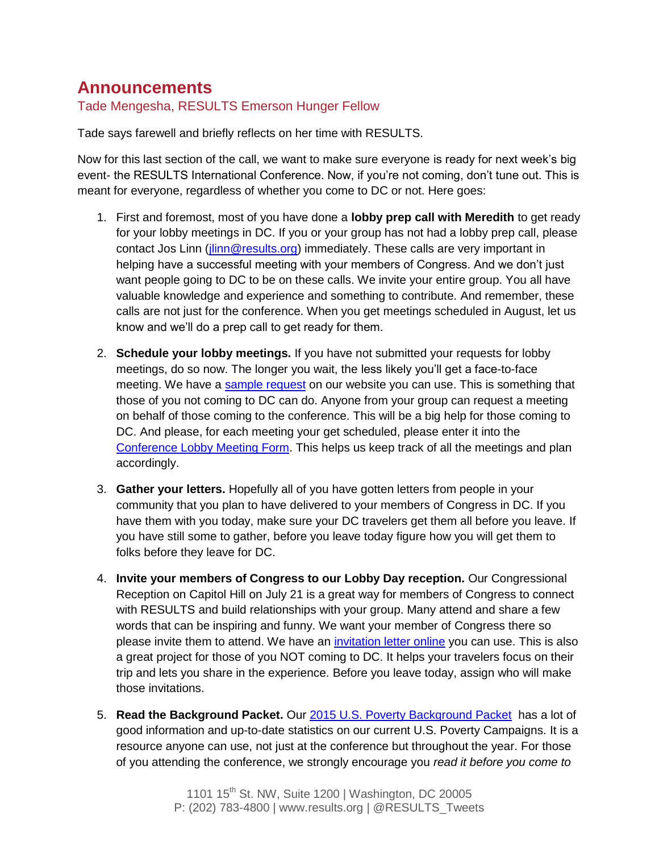# **Announcements**

Tade Mengesha, RESULTS Emerson Hunger Fellow

Tade says farewell and briefly reflects on her time with RESULTS.

Now for this last section of the call, we want to make sure everyone is ready for next week's big event- the RESULTS International Conference. Now, if you're not coming, don't tune out. This is meant for everyone, regardless of whether you come to DC or not. Here goes:

- 1. First and foremost, most of you have done a **lobby prep call with Meredith** to get ready for your lobby meetings in DC. If you or your group has not had a lobby prep call, please contact Jos Linn [\(jlinn@results.org\)](mailto:jlinn@results.org) immediately. These calls are very important in helping have a successful meeting with your members of Congress. And we don't just want people going to DC to be on these calls. We invite your entire group. You all have valuable knowledge and experience and something to contribute. And remember, these calls are not just for the conference. When you get meetings scheduled in August, let us know and we'll do a prep call to get ready for them.
- 2. **Schedule your lobby meetings.** If you have not submitted your requests for lobby meetings, do so now. The longer you wait, the less likely you'll get a face-to-face meeting. We have a [sample request](http://www.results.org/uploads/files/2015_U.S._Campaigns_Lobby_Meeting_Request.doc) on our website you can use. This is something that those of you not coming to DC can do. Anyone from your group can request a meeting on behalf of those coming to the conference. This will be a big help for those coming to DC. And please, for each meeting your get scheduled, please enter it into the [Conference Lobby Meeting Form.](https://docs.google.com/forms/d/1yFd_Hp0nSdxlwwifUojMClF6F59hPd0U_5zcEhqsgnk/viewform) This helps us keep track of all the meetings and plan accordingly.
- 3. **Gather your letters.** Hopefully all of you have gotten letters from people in your community that you plan to have delivered to your members of Congress in DC. If you have them with you today, make sure your DC travelers get them all before you leave. If you have still some to gather, before you leave today figure how you will get them to folks before they leave for DC.
- 4. **Invite your members of Congress to our Lobby Day reception.** Our Congressional Reception on Capitol Hill on July 21 is a great way for members of Congress to connect with RESULTS and build relationships with your group. Many attend and share a few words that can be inspiring and funny. We want your member of Congress there so please invite them to attend. We have an [invitation letter online](http://www.results.org/uploads/files/Draft_IC_Reception_Invitation_for_MoCs.doc) you can use. This is also a great project for those of you NOT coming to DC. It helps your travelers focus on their trip and lets you share in the experience. Before you leave today, assign who will make those invitations.
- 5. **Read the Background Packet.** Our [2015 U.S. Poverty Background Packet](http://www.results.org/uploads/files/2015_RESULTS_US_Poverty_Campaigns_Background_Packet.pdf) has a lot of good information and up-to-date statistics on our current U.S. Poverty Campaigns. It is a resource anyone can use, not just at the conference but throughout the year. For those of you attending the conference, we strongly encourage you *read it before you come to*